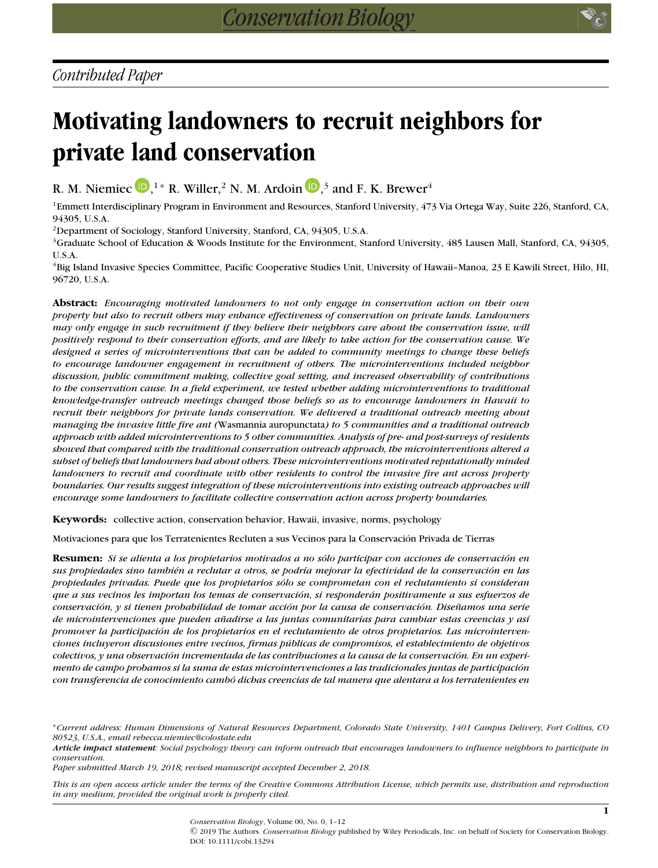# **Motivating landowners to recruit neighbors for private land conservation**

R. M. Niemiec  $\mathbf{D},^{1*}$  $\mathbf{D},^{1*}$  $\mathbf{D},^{1*}$  R. Willer,  $^2$  N. M. Ardoin  $\mathbf{D},^3$  and F. K. Brewer $^4$ 

<sup>1</sup>Emmett Interdisciplinary Program in Environment and Resources, Stanford University, 473 Via Ortega Way, Suite 226, Stanford, CA, 94305, U.S.A.

2Department of Sociology, Stanford University, Stanford, CA, 94305, U.S.A.

 $3$ Graduate School of Education & Woods Institute for the Environment, Stanford University, 485 Lausen Mall, Stanford, CA, 94305, U.S.A.

4Big Island Invasive Species Committee, Pacific Cooperative Studies Unit, University of Hawaii–Manoa, 23 E Kawili Street, Hilo, HI, 96720, U.S.A.

**Abstract:** *Encouraging motivated landowners to not only engage in conservation action on their own property but also to recruit others may enhance effectiveness of conservation on private lands. Landowners may only engage in such recruitment if they believe their neighbors care about the conservation issue, will positively respond to their conservation efforts, and are likely to take action for the conservation cause. We designed a series of microinterventions that can be added to community meetings to change these beliefs to encourage landowner engagement in recruitment of others. The microinterventions included neighbor discussion, public commitment making, collective goal setting, and increased observability of contributions to the conservation cause. In a field experiment, we tested whether adding microinterventions to traditional knowledge-transfer outreach meetings changed those beliefs so as to encourage landowners in Hawaii to recruit their neighbors for private lands conservation. We delivered a traditional outreach meeting about managing the invasive little fire ant (*Wasmannia auropunctata*) to 5 communities and a traditional outreach approach with added microinterventions to 5 other communities. Analysis of pre- and post-surveys of residents showed that compared with the traditional conservation outreach approach, the microinterventions altered a subset of beliefs that landowners had about others. These microinterventions motivated reputationally minded landowners to recruit and coordinate with other residents to control the invasive fire ant across property boundaries. Our results suggest integration of these microinterventions into existing outreach approaches will encourage some landowners to facilitate collective conservation action across property boundaries.*

**Keywords:** collective action, conservation behavior, Hawaii, invasive, norms, psychology

Motivaciones para que los Terratenientes Recluten a sus Vecinos para la Conservacion Privada de Tierras ´

**Resumen:** *Si se alienta a los propietarios motivados a no sólo participar con acciones de conservación en sus propiedades sino tambi´en a reclutar a otros, se podr´ıa mejorar la efectividad de la conservacion en las ´ propiedades privadas. Puede que los propietarios solo se comprometan con el reclutamiento si consideran ´ que a sus vecinos les importan los temas de conservacion, si responder ´ an positivamente a sus esfuerzos de ´ conservacion, y si tienen probabilidad de tomar acci ´ on por la causa de conservaci ´ on. Dise ´ namos una serie ˜ de microintervenciones que pueden anadirse a las juntas comunitarias para cambiar estas creencias y as ˜ ´ı promover la participacion de los propietarios en el reclutamiento de otros propietarios. Las microinterven- ´ ciones incluyeron discusiones entre vecinos, firmas publicas de compromisos, el establecimiento de objetivos ´ colectivos, y una observacion incrementada de las contribuciones a la causa de la conservaci ´ on. En un experi- ´ mento de campo probamos si la suma de estas microintervenciones a las tradicionales juntas de participacion´ con transferencia de conocimiento cambo dichas creencias de tal manera que alentara a los terratenientes en ´*

∗*Current address: Human Dimensions of Natural Resources Department, Colorado State University, 1401 Campus Delivery, Fort Collins, CO 80523, U.S.A., email rebecca.niemiec@colostate.edu*

*Article impact statement: Social psychology theory can inform outreach that encourages landowners to influence neighbors to participate in conservation.*

*Paper submitted March 19, 2018; revised manuscript accepted December 2, 2018.*

*This is an open access article under the terms of the [Creative Commons Attribution](http://creativecommons.org/licenses/by/4.0/) License, which permits use, distribution and reproduction in any medium, provided the original work is properly cited.*

> *Conservation Biology*, Volume 00, No. 0, 1–12 C 2019 The Authors. *Conservation Biology* published by Wiley Periodicals, Inc. on behalf of Society for Conservation Biology. DOI: 10.1111/cobi.13294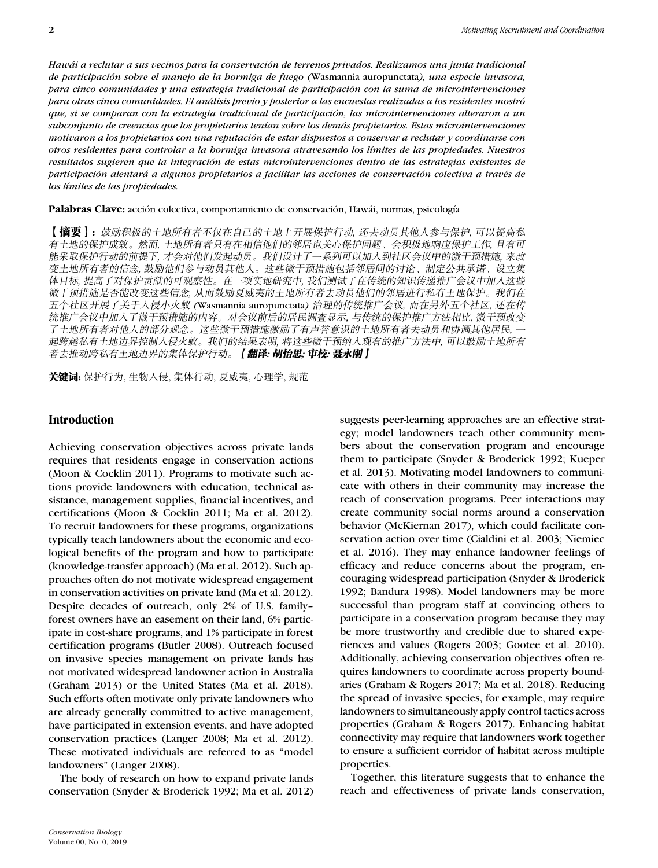*Hawai a reclutar a sus vecinos para la conservaci ´ on de terrenos privados. Realizamos una junta tradicional ´ de participacion sobre el manejo de la hormiga de fuego ( ´* Wasmannia auropunctata*), una especie invasora, para cinco comunidades y una estrategia tradicional de participacion con la suma de microintervenciones ´ para otras cinco comunidades. El analisis previo y posterior a las encuestas realizadas a los residentes mostr ´ o´ que, si se comparan con la estrategia tradicional de participacion, las microintervenciones alteraron a un ´ subconjunto de creencias que los propietarios ten´ıan sobre los demas propietarios. Estas microintervenciones ´ motivaron a los propietarios con una reputacion de estar dispuestos a conservar a reclutar y coordinarse con ´ otros residentes para controlar a la hormiga invasora atravesando los l´ımites de las propiedades. Nuestros resultados sugieren que la integracion de estas microintervenciones dentro de las estrategias existentes de ´ participacion alentar ´ a a algunos propietarios a facilitar las acciones de conservaci ´ on colectiva a trav ´ ´es de los l´ımites de las propiedades.*

Palabras Clave: acción colectiva, comportamiento de conservación, Hawái, normas, psicología

【摘要】: 鼓励积极的土地所有者不仅在自己的土地上开展保护行动, 还去动员其他人参与保护, 可以提高私 有土地的保护成效。然而, 土地所有者只有在相信他们的邻居也关心保护问题、会积极地响应保护工作, 且有可 能采取保护行动的前提下, 才会对他们发起动员。我们设计了一系列可以加入到社区会议中的微干预措施, 来改 变土地所有者的信念,鼓励他们参与动员其他人。这些微干预措施包括邻居间的讨论、制定公共承诺、设立集 体目标, 提高了对保护贡献的可观察性。在一项实地研究中, 我们测试了在传统的知识传递推广会议中加人这些 微干预措施是否能改变这些信念, 从而鼓励夏威夷的土地所有者去动员他们的邻居进行私有土地保护。我们在 五个社区开展了关于人侵小火蚁 (Wasmannia auropunctata) 治理的传统推广会议, 而在另外五个社区, 还在传 统推广会议中加入了微干预措施的内容。对会议前后的居民调查显示, 与传统的保护推广方法相比, 微干预改变 了土地所有者对他人的部分观念。这些微干预措施激励了有声誉意识的土地所有者去动员和协调其他居民, --起跨越私有土地边界控制人侵火蚁。我们的结果表明, 将这些微干预纳人现有的推广方法中, 可以鼓励土地所有 者去推动跨私有土地边界的集体保护行动。 【**翻译: 胡怡思; 审校: 聂永刚** 】

关键词: 保护行为, 生物入侵, 集体行动, 夏威夷, 心理学, 规范

## **Introduction**

Achieving conservation objectives across private lands requires that residents engage in conservation actions (Moon & Cocklin 2011). Programs to motivate such actions provide landowners with education, technical assistance, management supplies, financial incentives, and certifications (Moon & Cocklin 2011; Ma et al. 2012). To recruit landowners for these programs, organizations typically teach landowners about the economic and ecological benefits of the program and how to participate (knowledge-transfer approach) (Ma et al. 2012). Such approaches often do not motivate widespread engagement in conservation activities on private land (Ma et al. 2012). Despite decades of outreach, only 2% of U.S. family– forest owners have an easement on their land, 6% participate in cost-share programs, and 1% participate in forest certification programs (Butler 2008). Outreach focused on invasive species management on private lands has not motivated widespread landowner action in Australia (Graham 2013) or the United States (Ma et al. 2018). Such efforts often motivate only private landowners who are already generally committed to active management, have participated in extension events, and have adopted conservation practices (Langer 2008; Ma et al. 2012). These motivated individuals are referred to as "model landowners" (Langer 2008).

The body of research on how to expand private lands conservation (Snyder & Broderick 1992; Ma et al. 2012) suggests peer-learning approaches are an effective strategy; model landowners teach other community members about the conservation program and encourage them to participate (Snyder & Broderick 1992; Kueper et al. 2013). Motivating model landowners to communicate with others in their community may increase the reach of conservation programs. Peer interactions may create community social norms around a conservation behavior (McKiernan 2017), which could facilitate conservation action over time (Cialdini et al. 2003; Niemiec et al. 2016). They may enhance landowner feelings of efficacy and reduce concerns about the program, encouraging widespread participation (Snyder & Broderick 1992; Bandura 1998). Model landowners may be more successful than program staff at convincing others to participate in a conservation program because they may be more trustworthy and credible due to shared experiences and values (Rogers 2003; Gootee et al. 2010). Additionally, achieving conservation objectives often requires landowners to coordinate across property boundaries (Graham & Rogers 2017; Ma et al. 2018). Reducing the spread of invasive species, for example, may require landowners to simultaneously apply control tactics across properties (Graham & Rogers 2017). Enhancing habitat connectivity may require that landowners work together to ensure a sufficient corridor of habitat across multiple properties.

Together, this literature suggests that to enhance the reach and effectiveness of private lands conservation,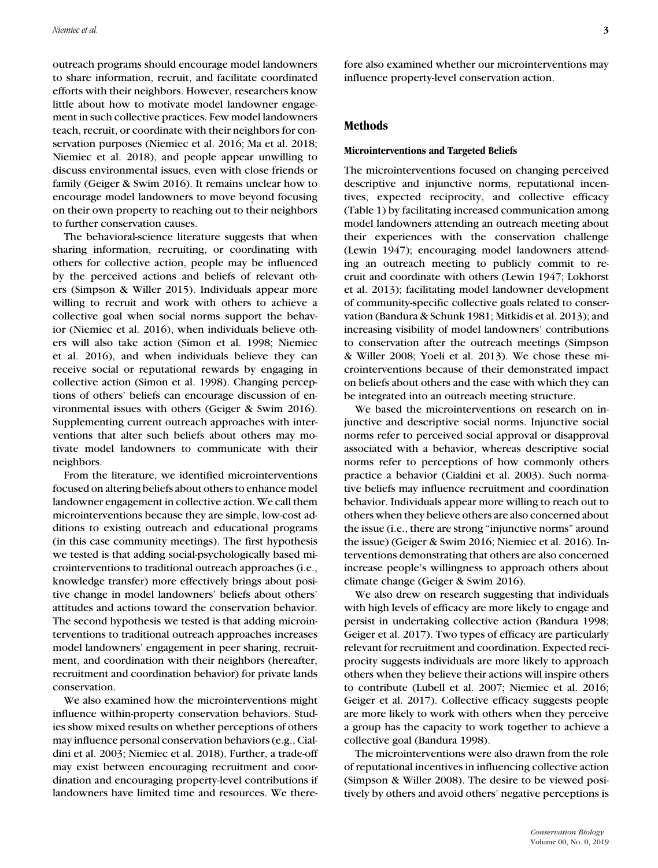outreach programs should encourage model landowners to share information, recruit, and facilitate coordinated efforts with their neighbors. However, researchers know little about how to motivate model landowner engagement in such collective practices. Few model landowners teach, recruit, or coordinate with their neighbors for conservation purposes (Niemiec et al. 2016; Ma et al. 2018; Niemiec et al. 2018), and people appear unwilling to discuss environmental issues, even with close friends or family (Geiger & Swim 2016). It remains unclear how to encourage model landowners to move beyond focusing on their own property to reaching out to their neighbors to further conservation causes.

The behavioral-science literature suggests that when sharing information, recruiting, or coordinating with others for collective action, people may be influenced by the perceived actions and beliefs of relevant others (Simpson & Willer 2015). Individuals appear more willing to recruit and work with others to achieve a collective goal when social norms support the behavior (Niemiec et al. 2016), when individuals believe others will also take action (Simon et al. 1998; Niemiec et al. 2016), and when individuals believe they can receive social or reputational rewards by engaging in collective action (Simon et al. 1998). Changing perceptions of others' beliefs can encourage discussion of environmental issues with others (Geiger & Swim 2016). Supplementing current outreach approaches with interventions that alter such beliefs about others may motivate model landowners to communicate with their neighbors.

From the literature, we identified microinterventions focused on altering beliefs about others to enhance model landowner engagement in collective action. We call them microinterventions because they are simple, low-cost additions to existing outreach and educational programs (in this case community meetings). The first hypothesis we tested is that adding social-psychologically based microinterventions to traditional outreach approaches (i.e., knowledge transfer) more effectively brings about positive change in model landowners' beliefs about others' attitudes and actions toward the conservation behavior. The second hypothesis we tested is that adding microinterventions to traditional outreach approaches increases model landowners' engagement in peer sharing, recruitment, and coordination with their neighbors (hereafter, recruitment and coordination behavior) for private lands conservation.

We also examined how the microinterventions might influence within-property conservation behaviors. Studies show mixed results on whether perceptions of others may influence personal conservation behaviors (e.g., Cialdini et al. 2003; Niemiec et al. 2018). Further, a trade-off may exist between encouraging recruitment and coordination and encouraging property-level contributions if landowners have limited time and resources. We therefore also examined whether our microinterventions may influence property-level conservation action.

#### **Methods**

#### **Microinterventions and Targeted Beliefs**

The microinterventions focused on changing perceived descriptive and injunctive norms, reputational incentives, expected reciprocity, and collective efficacy (Table 1) by facilitating increased communication among model landowners attending an outreach meeting about their experiences with the conservation challenge (Lewin 1947); encouraging model landowners attending an outreach meeting to publicly commit to recruit and coordinate with others (Lewin 1947; Lokhorst et al. 2013); facilitating model landowner development of community-specific collective goals related to conservation (Bandura & Schunk 1981; Mitkidis et al. 2013); and increasing visibility of model landowners' contributions to conservation after the outreach meetings (Simpson & Willer 2008; Yoeli et al. 2013). We chose these microinterventions because of their demonstrated impact on beliefs about others and the ease with which they can be integrated into an outreach meeting structure.

We based the microinterventions on research on injunctive and descriptive social norms. Injunctive social norms refer to perceived social approval or disapproval associated with a behavior, whereas descriptive social norms refer to perceptions of how commonly others practice a behavior (Cialdini et al. 2003). Such normative beliefs may influence recruitment and coordination behavior. Individuals appear more willing to reach out to others when they believe others are also concerned about the issue (i.e., there are strong "injunctive norms" around the issue) (Geiger & Swim 2016; Niemiec et al. 2016). Interventions demonstrating that others are also concerned increase people's willingness to approach others about climate change (Geiger & Swim 2016).

We also drew on research suggesting that individuals with high levels of efficacy are more likely to engage and persist in undertaking collective action (Bandura 1998; Geiger et al. 2017). Two types of efficacy are particularly relevant for recruitment and coordination. Expected reciprocity suggests individuals are more likely to approach others when they believe their actions will inspire others to contribute (Lubell et al. 2007; Niemiec et al. 2016; Geiger et al. 2017). Collective efficacy suggests people are more likely to work with others when they perceive a group has the capacity to work together to achieve a collective goal (Bandura 1998).

The microinterventions were also drawn from the role of reputational incentives in influencing collective action (Simpson & Willer 2008). The desire to be viewed positively by others and avoid others' negative perceptions is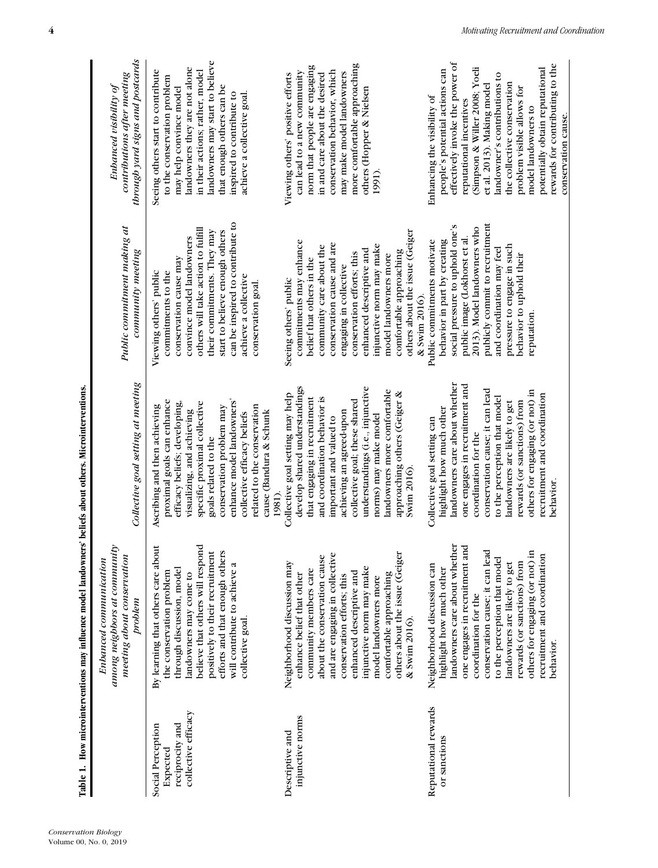|                                                                         | Table 1. How microinterventions may influence model landowners' beliefs about others. Microinterventions.                                                                                                                                                                                                                                                            |                                                                                                                                                                                                                                                                                                                                                                               |                                                                                                                                                                                                                                                                                                                                               |                                                                                                                                                                                                                                                                                                                                                                                                             |
|-------------------------------------------------------------------------|----------------------------------------------------------------------------------------------------------------------------------------------------------------------------------------------------------------------------------------------------------------------------------------------------------------------------------------------------------------------|-------------------------------------------------------------------------------------------------------------------------------------------------------------------------------------------------------------------------------------------------------------------------------------------------------------------------------------------------------------------------------|-----------------------------------------------------------------------------------------------------------------------------------------------------------------------------------------------------------------------------------------------------------------------------------------------------------------------------------------------|-------------------------------------------------------------------------------------------------------------------------------------------------------------------------------------------------------------------------------------------------------------------------------------------------------------------------------------------------------------------------------------------------------------|
|                                                                         | among neighbors at community<br>meeting about conservation<br>Enhanced communication<br>problem                                                                                                                                                                                                                                                                      | Collective goal setting at meeting                                                                                                                                                                                                                                                                                                                                            | Public commitment making at<br>community meeting                                                                                                                                                                                                                                                                                              | through yard signs and postcards<br>contributions after meeting<br>Enhanced visibility of                                                                                                                                                                                                                                                                                                                   |
| collective efficacy<br>reciprocity and<br>Social Perception<br>Expected | By learning that others care about<br>believe that others will respond<br>efforts and that enough others<br>positively to their recruitment<br>will contribute to achieve a<br>through discussion, model<br>the conservation problem<br>landowners may come to<br>collective goal.                                                                                   | enhance model landowners'<br>proximal goals can enhance<br>efficacy beliefs; developing,<br>specific proximal collective<br>related to the conservation<br>conservation problem may<br>Ascribing and then achieving<br>visualizing, and achieving<br>cause (Bandura & Schunk<br>collective efficacy beliefs<br>goals related to the                                           | can be inspired to contribute to<br>others will take action to fulfill<br>their commitments. They may<br>start to believe enough others<br>convince model landowners<br>conservation cause may<br>commitments to the<br>Viewing others' public<br>achieve a collective<br>conservation goal.                                                  | landowners may start to believe<br>landowners they are not alone<br>Seeing others start to contribute<br>in their actions; rather, model<br>to the conservation problem<br>that enough others can be<br>may help convince model<br>inspired to contribute to<br>achieve a collective goal.                                                                                                                  |
| injunctive norms<br>Descriptive and                                     | others about the issue (Geiger<br>and are engaging in collective<br>about the conservation cause<br>Neighborhood discussion may<br>injunctive norm may make<br>community members care<br>enhanced descriptive and<br>comfortable approaching<br>enhance belief that other<br>conservation efforts; this<br>model landowners more<br>& Swim 2016).                    | develop shared understandings<br>understandings (i.e., injunctive<br>landowners more comfortable<br>approaching others (Geiger &<br>Collective goal setting may help<br>and coordination behavior is<br>that engaging in recruitment<br>collective goal; these shared<br>achieving an agreed-upon<br>norms) may make model<br>important and valued to<br>Swim $2016$<br>1981) | others about the issue (Geiger<br>commitments may enhance<br>conservation cause and are<br>injunctive norm may make<br>community care about the<br>enhanced descriptive and<br>comfortable approaching<br>conservation efforts; this<br>model landowners more<br>belief that others in the<br>engaging in collective<br>Seeing others' public | more comfortable approaching<br>norm that people are engaging<br>conservation behavior, which<br>can lead to a new community<br>may make model landowners<br>in and care about the desired<br>Viewing others' positive efforts<br>others (Hopper & Nielsen<br>1991).                                                                                                                                        |
| Reputational rewards<br>or sanctions                                    | landowners care about whether<br>one engages in recruitment and<br>conservation cause; it can lead<br>others for engaging (or not) in<br>recruitment and coordination<br>to the perception that model<br>rewards (or sanctions) from<br>landowners are likely to get<br>Neighborhood discussion can<br>highlight how much other<br>coordination for the<br>behavior. | landowners care about whether<br>one engages in recruitment and<br>conservation cause; it can lead<br>others for engaging (or not) in<br>recruitment and coordination<br>to the perception that model<br>rewards (or sanctions) from<br>landowners are likely to get<br>highlight how much other<br>Collective goal setting can<br>coordination for the<br>behavior.          | publicly commit to recruitment<br>social pressure to uphold one's<br>2013). Model landowners who<br>public image (Lokhorst et al.<br>behavior in part by creating<br>Public commitments motivate<br>pressure to engage in such<br>and coordination may feel<br>behavior to uphold their<br>& Swim 2016).<br>reputation.                       | effectively invoke the power of<br>rewards for contributing to the<br>(Simpson & Willer 2008; Yoeli<br>potentially obtain reputational<br>people's potential actions can<br>landowner's contributions to<br>the collective conservation<br>et al. 2013). Making model<br>problem visible allows for<br>Enhancing the visibility of<br>reputational incentives<br>model landowners to<br>conservation cause. |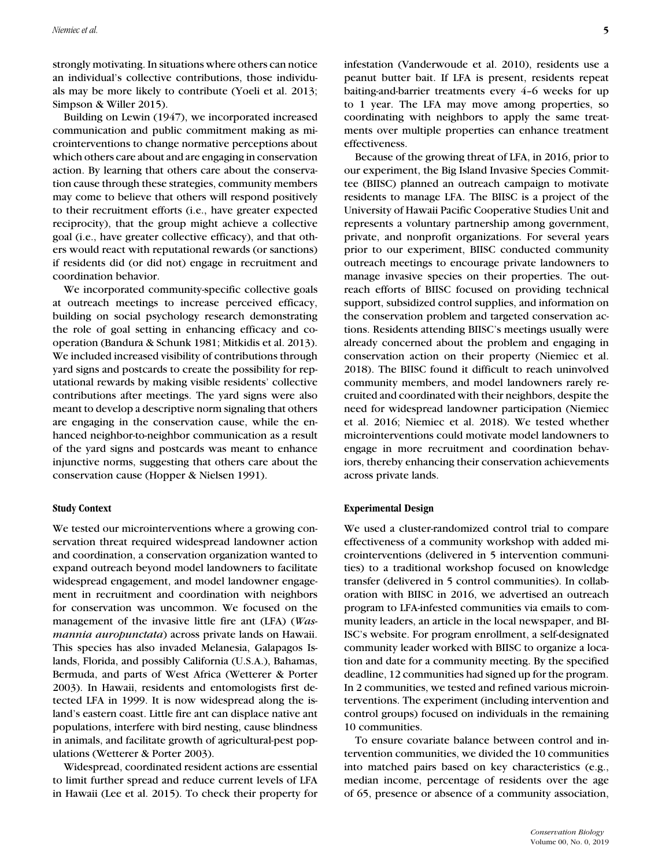strongly motivating. In situations where others can notice an individual's collective contributions, those individuals may be more likely to contribute (Yoeli et al. 2013; Simpson & Willer 2015).

Building on Lewin (1947), we incorporated increased communication and public commitment making as microinterventions to change normative perceptions about which others care about and are engaging in conservation action. By learning that others care about the conservation cause through these strategies, community members may come to believe that others will respond positively to their recruitment efforts (i.e., have greater expected reciprocity), that the group might achieve a collective goal (i.e., have greater collective efficacy), and that others would react with reputational rewards (or sanctions) if residents did (or did not) engage in recruitment and coordination behavior.

We incorporated community-specific collective goals at outreach meetings to increase perceived efficacy, building on social psychology research demonstrating the role of goal setting in enhancing efficacy and cooperation (Bandura & Schunk 1981; Mitkidis et al. 2013). We included increased visibility of contributions through yard signs and postcards to create the possibility for reputational rewards by making visible residents' collective contributions after meetings. The yard signs were also meant to develop a descriptive norm signaling that others are engaging in the conservation cause, while the enhanced neighbor-to-neighbor communication as a result of the yard signs and postcards was meant to enhance injunctive norms, suggesting that others care about the conservation cause (Hopper & Nielsen 1991).

#### **Study Context**

We tested our microinterventions where a growing conservation threat required widespread landowner action and coordination, a conservation organization wanted to expand outreach beyond model landowners to facilitate widespread engagement, and model landowner engagement in recruitment and coordination with neighbors for conservation was uncommon. We focused on the management of the invasive little fire ant (LFA) (*Wasmannia auropunctata*) across private lands on Hawaii. This species has also invaded Melanesia, Galapagos Islands, Florida, and possibly California (U.S.A.), Bahamas, Bermuda, and parts of West Africa (Wetterer & Porter 2003). In Hawaii, residents and entomologists first detected LFA in 1999. It is now widespread along the island's eastern coast. Little fire ant can displace native ant populations, interfere with bird nesting, cause blindness in animals, and facilitate growth of agricultural-pest populations (Wetterer & Porter 2003).

Widespread, coordinated resident actions are essential to limit further spread and reduce current levels of LFA in Hawaii (Lee et al. 2015). To check their property for infestation (Vanderwoude et al. 2010), residents use a peanut butter bait. If LFA is present, residents repeat baiting-and-barrier treatments every 4–6 weeks for up to 1 year. The LFA may move among properties, so coordinating with neighbors to apply the same treatments over multiple properties can enhance treatment effectiveness.

Because of the growing threat of LFA, in 2016, prior to our experiment, the Big Island Invasive Species Committee (BIISC) planned an outreach campaign to motivate residents to manage LFA. The BIISC is a project of the University of Hawaii Pacific Cooperative Studies Unit and represents a voluntary partnership among government, private, and nonprofit organizations. For several years prior to our experiment, BIISC conducted community outreach meetings to encourage private landowners to manage invasive species on their properties. The outreach efforts of BIISC focused on providing technical support, subsidized control supplies, and information on the conservation problem and targeted conservation actions. Residents attending BIISC's meetings usually were already concerned about the problem and engaging in conservation action on their property (Niemiec et al. 2018). The BIISC found it difficult to reach uninvolved community members, and model landowners rarely recruited and coordinated with their neighbors, despite the need for widespread landowner participation (Niemiec et al. 2016; Niemiec et al. 2018). We tested whether microinterventions could motivate model landowners to engage in more recruitment and coordination behaviors, thereby enhancing their conservation achievements across private lands.

#### **Experimental Design**

We used a cluster-randomized control trial to compare effectiveness of a community workshop with added microinterventions (delivered in 5 intervention communities) to a traditional workshop focused on knowledge transfer (delivered in 5 control communities). In collaboration with BIISC in 2016, we advertised an outreach program to LFA-infested communities via emails to community leaders, an article in the local newspaper, and BI-ISC's website. For program enrollment, a self-designated community leader worked with BIISC to organize a location and date for a community meeting. By the specified deadline, 12 communities had signed up for the program. In 2 communities, we tested and refined various microinterventions. The experiment (including intervention and control groups) focused on individuals in the remaining 10 communities.

To ensure covariate balance between control and intervention communities, we divided the 10 communities into matched pairs based on key characteristics (e.g., median income, percentage of residents over the age of 65, presence or absence of a community association,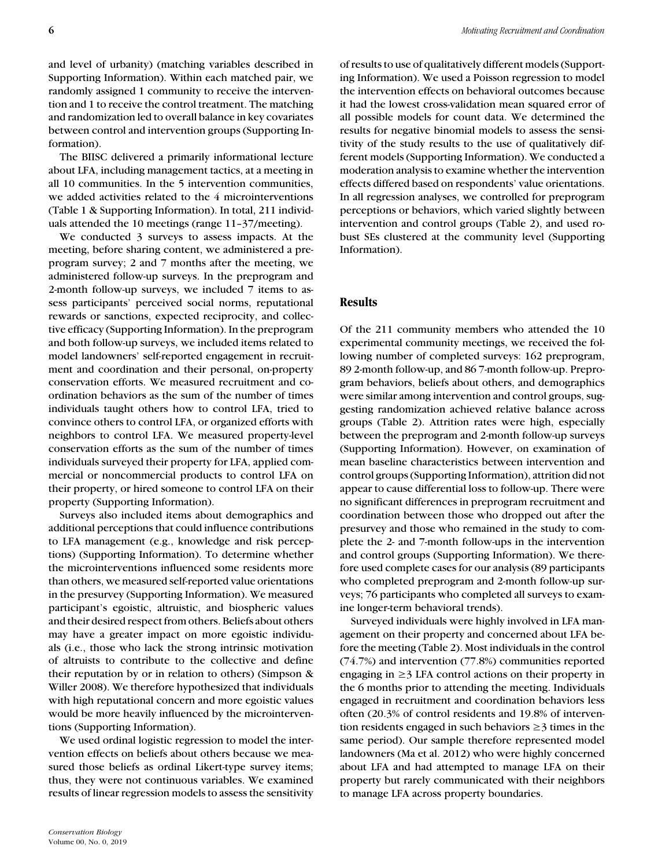and level of urbanity) (matching variables described in Supporting Information). Within each matched pair, we randomly assigned 1 community to receive the intervention and 1 to receive the control treatment. The matching and randomization led to overall balance in key covariates between control and intervention groups (Supporting Information).

The BIISC delivered a primarily informational lecture about LFA, including management tactics, at a meeting in all 10 communities. In the 5 intervention communities, we added activities related to the 4 microinterventions (Table 1 & Supporting Information). In total, 211 individuals attended the 10 meetings (range 11–37/meeting).

We conducted 3 surveys to assess impacts. At the meeting, before sharing content, we administered a preprogram survey; 2 and 7 months after the meeting, we administered follow-up surveys. In the preprogram and 2-month follow-up surveys, we included 7 items to assess participants' perceived social norms, reputational rewards or sanctions, expected reciprocity, and collective efficacy (Supporting Information). In the preprogram and both follow-up surveys, we included items related to model landowners' self-reported engagement in recruitment and coordination and their personal, on-property conservation efforts. We measured recruitment and coordination behaviors as the sum of the number of times individuals taught others how to control LFA, tried to convince others to control LFA, or organized efforts with neighbors to control LFA. We measured property-level conservation efforts as the sum of the number of times individuals surveyed their property for LFA, applied commercial or noncommercial products to control LFA on their property, or hired someone to control LFA on their property (Supporting Information).

Surveys also included items about demographics and additional perceptions that could influence contributions to LFA management (e.g., knowledge and risk perceptions) (Supporting Information). To determine whether the microinterventions influenced some residents more than others, we measured self-reported value orientations in the presurvey (Supporting Information). We measured participant's egoistic, altruistic, and biospheric values and their desired respect from others. Beliefs about others may have a greater impact on more egoistic individuals (i.e., those who lack the strong intrinsic motivation of altruists to contribute to the collective and define their reputation by or in relation to others) (Simpson & Willer 2008). We therefore hypothesized that individuals with high reputational concern and more egoistic values would be more heavily influenced by the microinterventions (Supporting Information).

We used ordinal logistic regression to model the intervention effects on beliefs about others because we measured those beliefs as ordinal Likert-type survey items; thus, they were not continuous variables. We examined results of linear regression models to assess the sensitivity

of results to use of qualitatively different models (Supporting Information). We used a Poisson regression to model the intervention effects on behavioral outcomes because it had the lowest cross-validation mean squared error of all possible models for count data. We determined the results for negative binomial models to assess the sensitivity of the study results to the use of qualitatively different models (Supporting Information). We conducted a moderation analysis to examine whether the intervention effects differed based on respondents' value orientations. In all regression analyses, we controlled for preprogram perceptions or behaviors, which varied slightly between intervention and control groups (Table 2), and used robust SEs clustered at the community level (Supporting Information).

## **Results**

Of the 211 community members who attended the 10 experimental community meetings, we received the following number of completed surveys: 162 preprogram, 89 2-month follow-up, and 86 7-month follow-up. Preprogram behaviors, beliefs about others, and demographics were similar among intervention and control groups, suggesting randomization achieved relative balance across groups (Table 2). Attrition rates were high, especially between the preprogram and 2-month follow-up surveys (Supporting Information). However, on examination of mean baseline characteristics between intervention and control groups (Supporting Information), attrition did not appear to cause differential loss to follow-up. There were no significant differences in preprogram recruitment and coordination between those who dropped out after the presurvey and those who remained in the study to complete the 2- and 7-month follow-ups in the intervention and control groups (Supporting Information). We therefore used complete cases for our analysis (89 participants who completed preprogram and 2-month follow-up surveys; 76 participants who completed all surveys to examine longer-term behavioral trends).

Surveyed individuals were highly involved in LFA management on their property and concerned about LFA before the meeting (Table 2). Most individuals in the control (74.7%) and intervention (77.8%) communities reported engaging in  $\geq$  3 LFA control actions on their property in the 6 months prior to attending the meeting. Individuals engaged in recruitment and coordination behaviors less often (20.3% of control residents and 19.8% of intervention residents engaged in such behaviors  $\geq$  3 times in the same period). Our sample therefore represented model landowners (Ma et al. 2012) who were highly concerned about LFA and had attempted to manage LFA on their property but rarely communicated with their neighbors to manage LFA across property boundaries.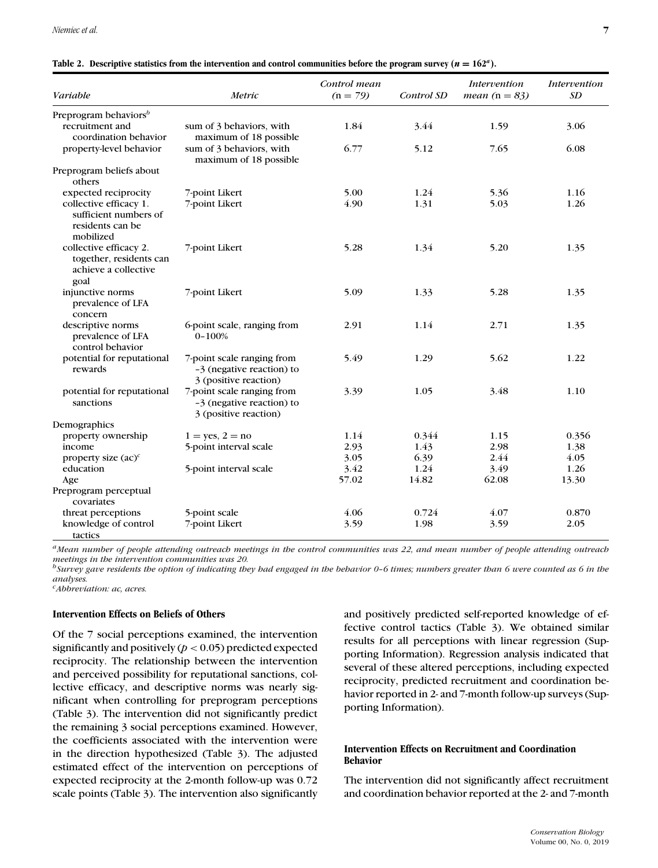| Variable                                                                          | Metric                                                                           | Control mean<br>$(n = 79)$ | Control SD | Intervention<br><i>mean</i> $(n = 83)$ | Intervention<br>SD |
|-----------------------------------------------------------------------------------|----------------------------------------------------------------------------------|----------------------------|------------|----------------------------------------|--------------------|
| Preprogram behaviors <sup>b</sup>                                                 |                                                                                  |                            |            |                                        |                    |
| recruitment and<br>coordination behavior                                          | sum of 3 behaviors, with<br>maximum of 18 possible                               | 1.84                       | 3.44       | 1.59                                   | 3.06               |
| property-level behavior                                                           | sum of 3 behaviors, with<br>maximum of 18 possible                               | 6.77                       | 5.12       | 7.65                                   | 6.08               |
| Preprogram beliefs about<br>others                                                |                                                                                  |                            |            |                                        |                    |
| expected reciprocity                                                              | 7-point Likert                                                                   | 5.00                       | 1.24       | 5.36                                   | 1.16               |
| collective efficacy 1.<br>sufficient numbers of<br>residents can be<br>mobilized  | 7-point Likert                                                                   | 4.90                       | 1.31       | 5.03                                   | 1.26               |
| collective efficacy 2.<br>together, residents can<br>achieve a collective<br>goal | 7-point Likert                                                                   | 5.28                       | 1.34       | 5.20                                   | 1.35               |
| injunctive norms<br>prevalence of LFA<br>concern                                  | 7-point Likert                                                                   | 5.09                       | 1.33       | 5.28                                   | 1.35               |
| descriptive norms<br>prevalence of LFA<br>control behavior                        | 6-point scale, ranging from<br>$0 - 100%$                                        | 2.91                       | 1.14       | 2.71                                   | 1.35               |
| potential for reputational<br>rewards                                             | 7-point scale ranging from<br>-3 (negative reaction) to<br>3 (positive reaction) | 5.49                       | 1.29       | 5.62                                   | 1.22               |
| potential for reputational<br>sanctions                                           | 7-point scale ranging from<br>-3 (negative reaction) to<br>3 (positive reaction) | 3.39                       | 1.05       | 3.48                                   | 1.10               |
| Demographics                                                                      |                                                                                  |                            |            |                                        |                    |
| property ownership                                                                | $1 = yes, 2 = no$                                                                | 1.14                       | 0.344      | 1.15                                   | 0.356              |
| income                                                                            | 5-point interval scale                                                           | 2.93                       | 1.43       | 2.98                                   | 1.38               |
| property size $(ac)^c$                                                            |                                                                                  | 3.05                       | 6.39       | 2.44                                   | 4.05               |
| education                                                                         | 5-point interval scale                                                           | 3.42                       | 1.24       | 3.49                                   | 1.26               |
| Age                                                                               |                                                                                  | 57.02                      | 14.82      | 62.08                                  | 13.30              |
| Preprogram perceptual<br>covariates                                               |                                                                                  |                            |            |                                        |                    |
| threat perceptions                                                                | 5-point scale                                                                    | 4.06                       | 0.724      | 4.07                                   | 0.870              |
| knowledge of control<br>tactics                                                   | 7-point Likert                                                                   | 3.59                       | 1.98       | 3.59                                   | 2.05               |

|  | Table 2. Descriptive statistics from the intervention and control communities before the program survey ( $n = 162a$ ). |  |  |  |  |  |
|--|-------------------------------------------------------------------------------------------------------------------------|--|--|--|--|--|
|--|-------------------------------------------------------------------------------------------------------------------------|--|--|--|--|--|

*aMean number of people attending outreach meetings in the control communities was 22, and mean number of people attending outreach meetings in the intervention communities was 20.*

*bSurvey gave residents the option of indicating they had engaged in the behavior 0–6 times; numbers greater than 6 were counted as 6 in the analyses.*

*cAbbreviation: ac, acres.*

# **Intervention Effects on Beliefs of Others**

Of the 7 social perceptions examined, the intervention significantly and positively  $(p < 0.05)$  predicted expected reciprocity. The relationship between the intervention and perceived possibility for reputational sanctions, collective efficacy, and descriptive norms was nearly significant when controlling for preprogram perceptions (Table 3). The intervention did not significantly predict the remaining 3 social perceptions examined. However, the coefficients associated with the intervention were in the direction hypothesized (Table 3). The adjusted estimated effect of the intervention on perceptions of expected reciprocity at the 2-month follow-up was 0.72 scale points (Table 3). The intervention also significantly and positively predicted self-reported knowledge of effective control tactics (Table 3). We obtained similar results for all perceptions with linear regression (Supporting Information). Regression analysis indicated that several of these altered perceptions, including expected reciprocity, predicted recruitment and coordination behavior reported in 2- and 7-month follow-up surveys (Supporting Information).

#### **Intervention Effects on Recruitment and Coordination Behavior**

The intervention did not significantly affect recruitment and coordination behavior reported at the 2- and 7-month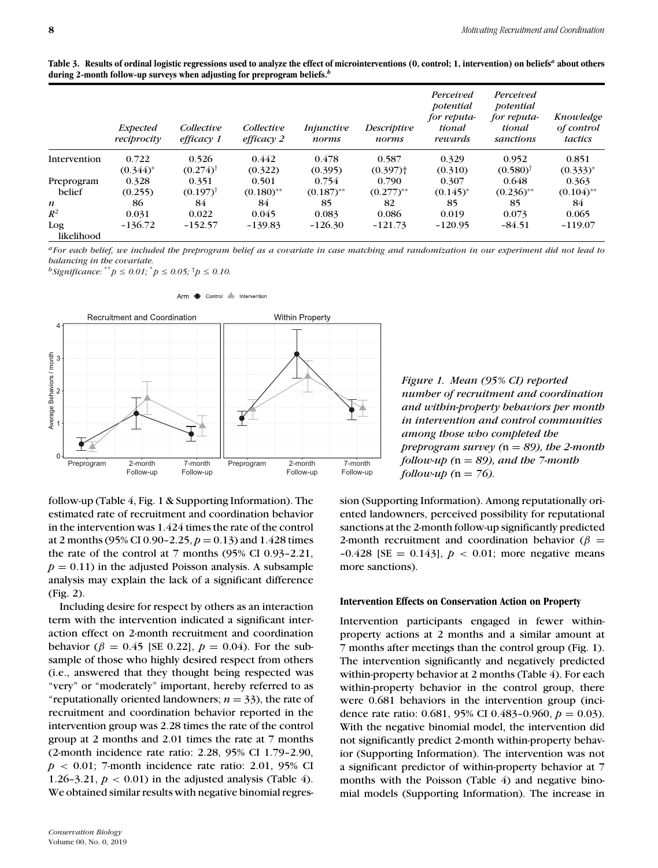|          | during 2-month follow-up surveys when adjusting for preprogram beliefs. <sup>b</sup> |            |                   |                    |                                                 |                                                 |                         |
|----------|--------------------------------------------------------------------------------------|------------|-------------------|--------------------|-------------------------------------------------|-------------------------------------------------|-------------------------|
| Expected | Collective                                                                           | Collective | <i>Injunctive</i> | <i>Descriptive</i> | Perceived<br>potential<br>for reputa-<br>tional | Perceived<br>potential<br>for reputa-<br>tional | Knowledge<br>of control |

| Table 3. Results of ordinal logistic regressions used to analyze the effect of microinterventions (0, control; 1, intervention) on beliefs <sup>a</sup> about others |  |
|----------------------------------------------------------------------------------------------------------------------------------------------------------------------|--|
| during 2-month follow-up surveys when adjusting for preprogram beliefs. $^b$                                                                                         |  |

|                   | <i>Expected</i><br>reciprocity | Collective<br>efficacy 1 | Collective<br>$efficacy$ 2 | <i>Injunctive</i><br>norms | Descriptive<br>norms   | <i>i</i> erceivea<br>potential<br>for reputa-<br>tional<br>rewards | 1 enceveu<br>potential<br>for reputa-<br>tional<br>sanctions | Knowledge<br>of control<br>tactics |
|-------------------|--------------------------------|--------------------------|----------------------------|----------------------------|------------------------|--------------------------------------------------------------------|--------------------------------------------------------------|------------------------------------|
| Intervention      | 0.722                          | 0.526                    | 0.442                      | 0.478                      | 0.587                  | 0.329                                                              | 0.952                                                        | 0.851                              |
|                   | $(0.344)^*$                    | $(0.274)$ <sup>†</sup>   | (0.322)                    | (0.395)                    | $(0.397)$ <sup>+</sup> | (0.310)                                                            | $(0.580)$ <sup>†</sup>                                       | $(0.333)^*$                        |
| Preprogram        | 0.328                          | 0.351                    | 0.501                      | 0.754                      | 0.790                  | 0.307                                                              | 0.648                                                        | 0.363                              |
| belief            | (0.255)                        | $(0.197)^{T}$            | $(0.180)$ **               | $(0.187)$ <sup>**</sup>    | $(0.277)$ **           | $(0.145)^*$                                                        | $(0.236)$ **                                                 | $(0.104)$ **                       |
| $\boldsymbol{n}$  | 86                             | 84                       | 84                         | 85                         | 82                     | 85                                                                 | 85                                                           | 84                                 |
| $R^2$             | 0.031                          | 0.022                    | 0.045                      | 0.083                      | 0.086                  | 0.019                                                              | 0.073                                                        | 0.065                              |
| Log<br>likelihood | $-136.72$                      | $-152.57$                | $-139.83$                  | $-126.30$                  | $-121.73$              | $-120.95$                                                          | $-84.51$                                                     | $-119.07$                          |

*aFor each belief, we included the preprogram belief as a covariate in case matching and randomization in our experiment did not lead to balancing in the covariate.*

*b* Significance:  $^*p$  ≤ 0.01;  $^*p$  ≤ 0.05;  $^{\dagger}p$  ≤ 0.10.



Arm Control Mervention



follow-up (Table 4, Fig. 1 & Supporting Information). The estimated rate of recruitment and coordination behavior in the intervention was 1.424 times the rate of the control at 2 months (95% CI 0.90-2.25,  $p = 0.13$ ) and 1.428 times the rate of the control at 7 months (95% CI 0.93–2.21,  $p = 0.11$ ) in the adjusted Poisson analysis. A subsample analysis may explain the lack of a significant difference (Fig. 2).

Including desire for respect by others as an interaction term with the intervention indicated a significant interaction effect on 2-month recruitment and coordination behavior ( $β = 0.45$  [SE 0.22],  $p = 0.04$ ). For the subsample of those who highly desired respect from others (i.e., answered that they thought being respected was "very" or "moderately" important, hereby referred to as "reputationally oriented landowners;  $n = 33$ ), the rate of recruitment and coordination behavior reported in the intervention group was 2.28 times the rate of the control group at 2 months and 2.01 times the rate at 7 months (2-month incidence rate ratio: 2.28, 95% CI 1.79–2.90,  $p < 0.01$ ; 7-month incidence rate ratio: 2.01, 95% CI 1.26–3.21,  $p < 0.01$ ) in the adjusted analysis (Table 4). We obtained similar results with negative binomial regres-

*Conservation Biology* Volume 00, No. 0, 2019 sion (Supporting Information). Among reputationally oriented landowners, perceived possibility for reputational sanctions at the 2-month follow-up significantly predicted 2-month recruitment and coordination behavior ( $\beta$  =  $-0.428$  [SE = 0.143],  $p < 0.01$ ; more negative means more sanctions).

#### **Intervention Effects on Conservation Action on Property**

Intervention participants engaged in fewer withinproperty actions at 2 months and a similar amount at 7 months after meetings than the control group (Fig. 1). The intervention significantly and negatively predicted within-property behavior at 2 months (Table 4). For each within-property behavior in the control group, there were 0.681 behaviors in the intervention group (incidence rate ratio:  $0.681, 95\%$  CI  $0.483$ -0.960,  $p = 0.03$ ). With the negative binomial model, the intervention did not significantly predict 2-month within-property behavior (Supporting Information). The intervention was not a significant predictor of within-property behavior at 7 months with the Poisson (Table 4) and negative binomial models (Supporting Information). The increase in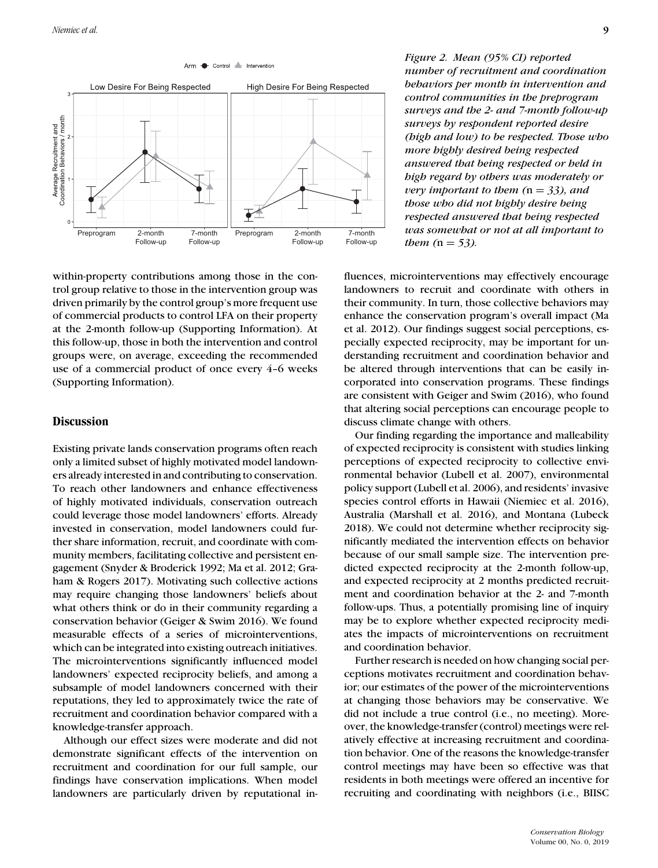

within-property contributions among those in the control group relative to those in the intervention group was driven primarily by the control group's more frequent use of commercial products to control LFA on their property at the 2-month follow-up (Supporting Information). At this follow-up, those in both the intervention and control groups were, on average, exceeding the recommended use of a commercial product of once every 4–6 weeks (Supporting Information).

## **Discussion**

Existing private lands conservation programs often reach only a limited subset of highly motivated model landowners already interested in and contributing to conservation. To reach other landowners and enhance effectiveness of highly motivated individuals, conservation outreach could leverage those model landowners' efforts. Already invested in conservation, model landowners could further share information, recruit, and coordinate with community members, facilitating collective and persistent engagement (Snyder & Broderick 1992; Ma et al. 2012; Graham & Rogers 2017). Motivating such collective actions may require changing those landowners' beliefs about what others think or do in their community regarding a conservation behavior (Geiger & Swim 2016). We found measurable effects of a series of microinterventions, which can be integrated into existing outreach initiatives. The microinterventions significantly influenced model landowners' expected reciprocity beliefs, and among a subsample of model landowners concerned with their reputations, they led to approximately twice the rate of recruitment and coordination behavior compared with a knowledge-transfer approach.

Although our effect sizes were moderate and did not demonstrate significant effects of the intervention on recruitment and coordination for our full sample, our findings have conservation implications. When model landowners are particularly driven by reputational in*Figure 2. Mean (95% CI) reported number of recruitment and coordination behaviors per month in intervention and control communities in the preprogram surveys and the 2- and 7-month follow-up surveys by respondent reported desire (high and low) to be respected. Those who more highly desired being respected answered that being respected or held in high regard by others was moderately or very important to them (*n = *33), and those who did not highly desire being respected answered that being respected was somewhat or not at all important to them*  $(n = 53)$ *.* 

fluences, microinterventions may effectively encourage landowners to recruit and coordinate with others in their community. In turn, those collective behaviors may enhance the conservation program's overall impact (Ma et al. 2012). Our findings suggest social perceptions, especially expected reciprocity, may be important for understanding recruitment and coordination behavior and be altered through interventions that can be easily incorporated into conservation programs. These findings are consistent with Geiger and Swim (2016), who found that altering social perceptions can encourage people to discuss climate change with others.

Our finding regarding the importance and malleability of expected reciprocity is consistent with studies linking perceptions of expected reciprocity to collective environmental behavior (Lubell et al. 2007), environmental policy support (Lubell et al. 2006), and residents' invasive species control efforts in Hawaii (Niemiec et al. 2016), Australia (Marshall et al. 2016), and Montana (Lubeck 2018). We could not determine whether reciprocity significantly mediated the intervention effects on behavior because of our small sample size. The intervention predicted expected reciprocity at the 2-month follow-up, and expected reciprocity at 2 months predicted recruitment and coordination behavior at the 2- and 7-month follow-ups. Thus, a potentially promising line of inquiry may be to explore whether expected reciprocity mediates the impacts of microinterventions on recruitment and coordination behavior.

Further research is needed on how changing social perceptions motivates recruitment and coordination behavior; our estimates of the power of the microinterventions at changing those behaviors may be conservative. We did not include a true control (i.e., no meeting). Moreover, the knowledge-transfer (control) meetings were relatively effective at increasing recruitment and coordination behavior. One of the reasons the knowledge-transfer control meetings may have been so effective was that residents in both meetings were offered an incentive for recruiting and coordinating with neighbors (i.e., BIISC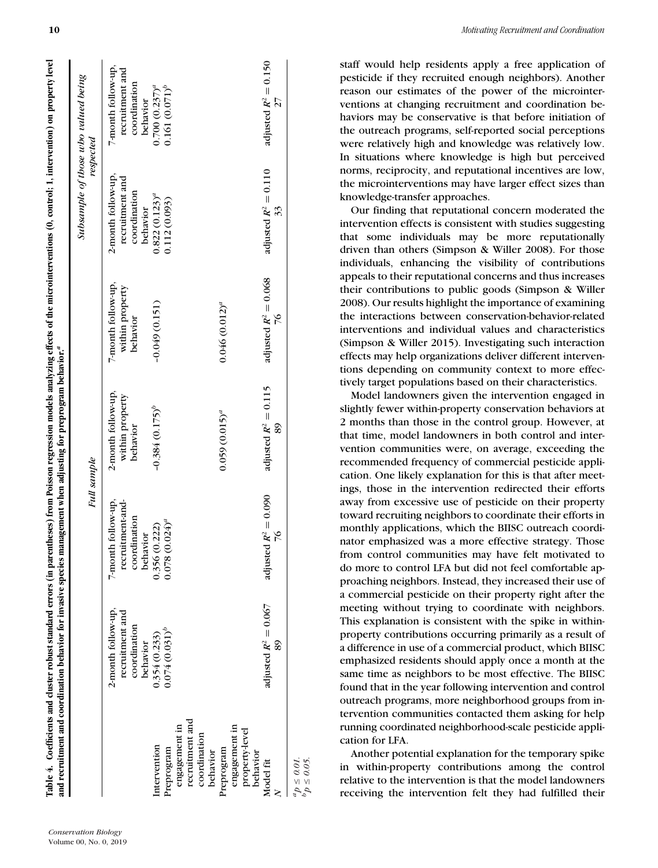|                                                                                              |                                                                   | Full sample                                                        |                                                   |                                                   |                                                                   | Subsample of those who valued being<br>respected                  |
|----------------------------------------------------------------------------------------------|-------------------------------------------------------------------|--------------------------------------------------------------------|---------------------------------------------------|---------------------------------------------------|-------------------------------------------------------------------|-------------------------------------------------------------------|
|                                                                                              | 2-month follow-up,<br>recruitment and<br>coordination<br>behavior | 7-month follow-up,<br>recruitment-and-<br>coordination<br>behavior | 2-month follow-up,<br>within property<br>behavior | 7-month follow-up,<br>within property<br>behavior | 2-month follow-up,<br>recruitment and<br>coordination<br>behavior | 7-month follow-up,<br>recruitment and<br>coordination<br>behavior |
| engagement in<br>Intervention<br>Preprogram                                                  | $0.074(0.031)^b$<br>0.354(0.233)                                  | $(0.024)^{a}$<br>0.356 (0.222)<br>0.078                            | $-0.384(0.175)^b$                                 | $-0.049(0.151)$                                   | $0.822(0.123)^{a}$<br>0.112(0.093)                                | $0.161(0.071)^b$<br>$0.700~(0.237)^{a}$                           |
| recruitment and<br>engagement in<br>property-level<br>coordination<br>Preprogram<br>behavior |                                                                   |                                                                    | $0.059(0.015)^{a}$                                | $0.046(0.012)^{a}$                                |                                                                   |                                                                   |
| behavior<br>Model fit                                                                        | adjusted $R^2 = 0.067$<br>89                                      | adjusted $R^2 = 0.090$<br>$\frac{9}{10}$                           | adjusted $R^2 = 0.115$<br>89                      | adjusted $R^2 = 0.068$<br>$\%$                    | adjusted $R^2 = 0.110$<br>33                                      | adjusted $R^2 = 0.150$<br>27                                      |
| $\begin{array}{l} ap \leq 0.01, \\ pp \leq 0.05, \end{array}$                                |                                                                   |                                                                    |                                                   |                                                   |                                                                   |                                                                   |

staff would help residents apply a free application of pesticide if they recruited enough neighbors). Another reason our estimates of the power of the microinterventions at changing recruitment and coordination behaviors may be conservative is that before initiation of the outreach programs, self-reported social perceptions were relatively high and knowledge was relatively low. In situations where knowledge is high but perceived norms, reciprocity, and reputational incentives are low, the microinterventions may have larger effect sizes than knowledge-transfer approaches.

Our finding that reputational concern moderated the intervention effects is consistent with studies suggesting that some individuals may be more reputationally driven than others (Simpson & Willer 2008). For those individuals, enhancing the visibility of contributions appeals to their reputational concerns and thus increases their contributions to public goods (Simpson & Willer 2008). Our results highlight the importance of examining the interactions between conservation-behavior-related interventions and individual values and characteristics (Simpson & Willer 2015). Investigating such interaction effects may help organizations deliver different interventions depending on community context to more effectively target populations based on their characteristics.

Model landowners given the intervention engaged in slightly fewer within-property conservation behaviors at 2 months than those in the control group. However, at that time, model landowners in both control and intervention communities were, on average, exceeding the recommended frequency of commercial pesticide application. One likely explanation for this is that after meetings, those in the intervention redirected their efforts away from excessive use of pesticide on their property toward recruiting neighbors to coordinate their efforts in monthly applications, which the BIISC outreach coordinator emphasized was a more effective strategy. Those from control communities may have felt motivated to do more to control LFA but did not feel comfortable approaching neighbors. Instead, they increased their use of a commercial pesticide on their property right after the meeting without trying to coordinate with neighbors. This explanation is consistent with the spike in withinproperty contributions occurring primarily as a result of a difference in use of a commercial product, which BIISC emphasized residents should apply once a month at the same time as neighbors to be most effective. The BIISC found that in the year following intervention and control outreach programs, more neighborhood groups from intervention communities contacted them asking for help running coordinated neighborhood-scale pesticide application for LFA.

Another potential explanation for the temporary spike in within-property contributions among the control relative to the intervention is that the model landowners receiving the intervention felt they had fulfilled their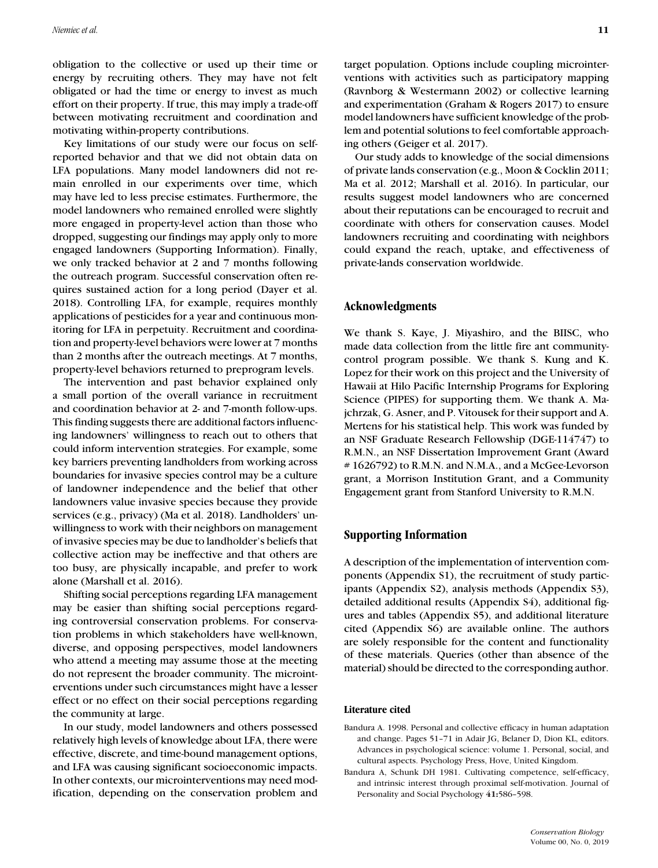obligation to the collective or used up their time or energy by recruiting others. They may have not felt obligated or had the time or energy to invest as much effort on their property. If true, this may imply a trade-off between motivating recruitment and coordination and motivating within-property contributions.

Key limitations of our study were our focus on selfreported behavior and that we did not obtain data on LFA populations. Many model landowners did not remain enrolled in our experiments over time, which may have led to less precise estimates. Furthermore, the model landowners who remained enrolled were slightly more engaged in property-level action than those who dropped, suggesting our findings may apply only to more engaged landowners (Supporting Information). Finally, we only tracked behavior at 2 and 7 months following the outreach program. Successful conservation often requires sustained action for a long period (Dayer et al. 2018). Controlling LFA, for example, requires monthly applications of pesticides for a year and continuous monitoring for LFA in perpetuity. Recruitment and coordination and property-level behaviors were lower at 7 months than 2 months after the outreach meetings. At 7 months, property-level behaviors returned to preprogram levels.

The intervention and past behavior explained only a small portion of the overall variance in recruitment and coordination behavior at 2- and 7-month follow-ups. This finding suggests there are additional factors influencing landowners' willingness to reach out to others that could inform intervention strategies. For example, some key barriers preventing landholders from working across boundaries for invasive species control may be a culture of landowner independence and the belief that other landowners value invasive species because they provide services (e.g., privacy) (Ma et al. 2018). Landholders' unwillingness to work with their neighbors on management of invasive species may be due to landholder's beliefs that collective action may be ineffective and that others are too busy, are physically incapable, and prefer to work alone (Marshall et al. 2016).

Shifting social perceptions regarding LFA management may be easier than shifting social perceptions regarding controversial conservation problems. For conservation problems in which stakeholders have well-known, diverse, and opposing perspectives, model landowners who attend a meeting may assume those at the meeting do not represent the broader community. The microinterventions under such circumstances might have a lesser effect or no effect on their social perceptions regarding the community at large.

In our study, model landowners and others possessed relatively high levels of knowledge about LFA, there were effective, discrete, and time-bound management options, and LFA was causing significant socioeconomic impacts. In other contexts, our microinterventions may need modification, depending on the conservation problem and target population. Options include coupling microinterventions with activities such as participatory mapping (Ravnborg & Westermann 2002) or collective learning and experimentation (Graham & Rogers 2017) to ensure model landowners have sufficient knowledge of the problem and potential solutions to feel comfortable approaching others (Geiger et al. 2017).

Our study adds to knowledge of the social dimensions of private lands conservation (e.g., Moon & Cocklin 2011; Ma et al. 2012; Marshall et al. 2016). In particular, our results suggest model landowners who are concerned about their reputations can be encouraged to recruit and coordinate with others for conservation causes. Model landowners recruiting and coordinating with neighbors could expand the reach, uptake, and effectiveness of private-lands conservation worldwide.

# **Acknowledgments**

We thank S. Kaye, J. Miyashiro, and the BIISC, who made data collection from the little fire ant communitycontrol program possible. We thank S. Kung and K. Lopez for their work on this project and the University of Hawaii at Hilo Pacific Internship Programs for Exploring Science (PIPES) for supporting them. We thank A. Majchrzak, G. Asner, and P. Vitousek for their support and A. Mertens for his statistical help. This work was funded by an NSF Graduate Research Fellowship (DGE-114747) to R.M.N., an NSF Dissertation Improvement Grant (Award # 1626792) to R.M.N. and N.M.A., and a McGee-Levorson grant, a Morrison Institution Grant, and a Community Engagement grant from Stanford University to R.M.N.

## **Supporting Information**

A description of the implementation of intervention components (Appendix S1), the recruitment of study participants (Appendix S2), analysis methods (Appendix S3), detailed additional results (Appendix S4), additional figures and tables (Appendix S5), and additional literature cited (Appendix S6) are available online. The authors are solely responsible for the content and functionality of these materials. Queries (other than absence of the material) should be directed to the corresponding author.

#### **Literature cited**

- Bandura A. 1998. Personal and collective efficacy in human adaptation and change. Pages 51–71 in Adair JG, Belaner D, Dion KL, editors. Advances in psychological science: volume 1. Personal, social, and cultural aspects. Psychology Press, Hove, United Kingdom.
- Bandura A, Schunk DH 1981. Cultivating competence, self-efficacy, and intrinsic interest through proximal self-motivation. Journal of Personality and Social Psychology **41:**586–598.